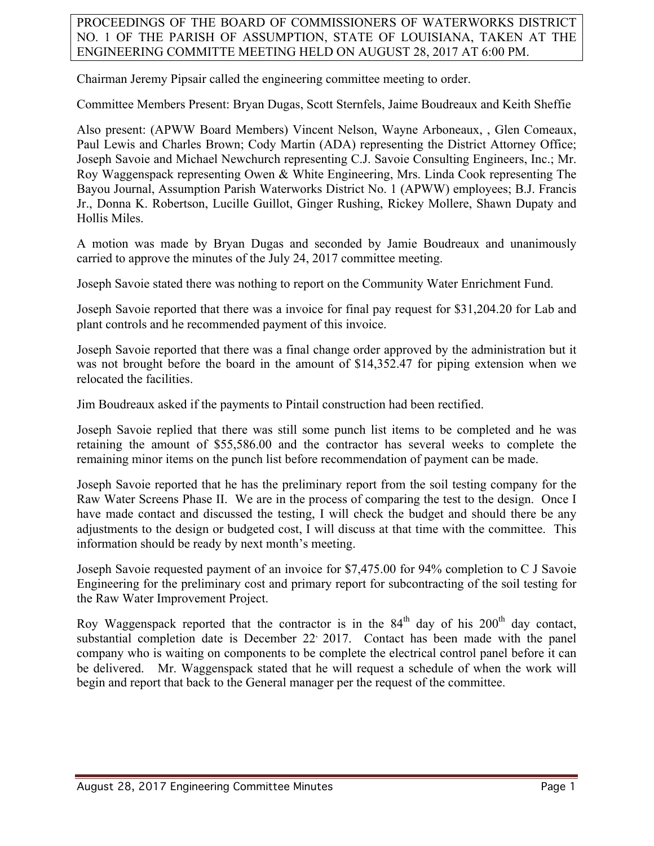PROCEEDINGS OF THE BOARD OF COMMISSIONERS OF WATERWORKS DISTRICT NO. 1 OF THE PARISH OF ASSUMPTION, STATE OF LOUISIANA, TAKEN AT THE ENGINEERING COMMITTE MEETING HELD ON AUGUST 28, 2017 AT 6:00 PM.

Chairman Jeremy Pipsair called the engineering committee meeting to order.

Committee Members Present: Bryan Dugas, Scott Sternfels, Jaime Boudreaux and Keith Sheffie

Also present: (APWW Board Members) Vincent Nelson, Wayne Arboneaux, , Glen Comeaux, Paul Lewis and Charles Brown; Cody Martin (ADA) representing the District Attorney Office; Joseph Savoie and Michael Newchurch representing C.J. Savoie Consulting Engineers, Inc.; Mr. Roy Waggenspack representing Owen & White Engineering, Mrs. Linda Cook representing The Bayou Journal, Assumption Parish Waterworks District No. 1 (APWW) employees; B.J. Francis Jr., Donna K. Robertson, Lucille Guillot, Ginger Rushing, Rickey Mollere, Shawn Dupaty and Hollis Miles.

A motion was made by Bryan Dugas and seconded by Jamie Boudreaux and unanimously carried to approve the minutes of the July 24, 2017 committee meeting.

Joseph Savoie stated there was nothing to report on the Community Water Enrichment Fund.

Joseph Savoie reported that there was a invoice for final pay request for \$31,204.20 for Lab and plant controls and he recommended payment of this invoice.

Joseph Savoie reported that there was a final change order approved by the administration but it was not brought before the board in the amount of \$14,352.47 for piping extension when we relocated the facilities.

Jim Boudreaux asked if the payments to Pintail construction had been rectified.

Joseph Savoie replied that there was still some punch list items to be completed and he was retaining the amount of \$55,586.00 and the contractor has several weeks to complete the remaining minor items on the punch list before recommendation of payment can be made.

Joseph Savoie reported that he has the preliminary report from the soil testing company for the Raw Water Screens Phase II. We are in the process of comparing the test to the design. Once I have made contact and discussed the testing, I will check the budget and should there be any adjustments to the design or budgeted cost, I will discuss at that time with the committee. This information should be ready by next month's meeting.

Joseph Savoie requested payment of an invoice for \$7,475.00 for 94% completion to C J Savoie Engineering for the preliminary cost and primary report for subcontracting of the soil testing for the Raw Water Improvement Project.

Roy Waggenspack reported that the contractor is in the  $84<sup>th</sup>$  day of his  $200<sup>th</sup>$  day contact, substantial completion date is December  $22^{\circ}$  2017. Contact has been made with the panel company who is waiting on components to be complete the electrical control panel before it can be delivered. Mr. Waggenspack stated that he will request a schedule of when the work will begin and report that back to the General manager per the request of the committee.